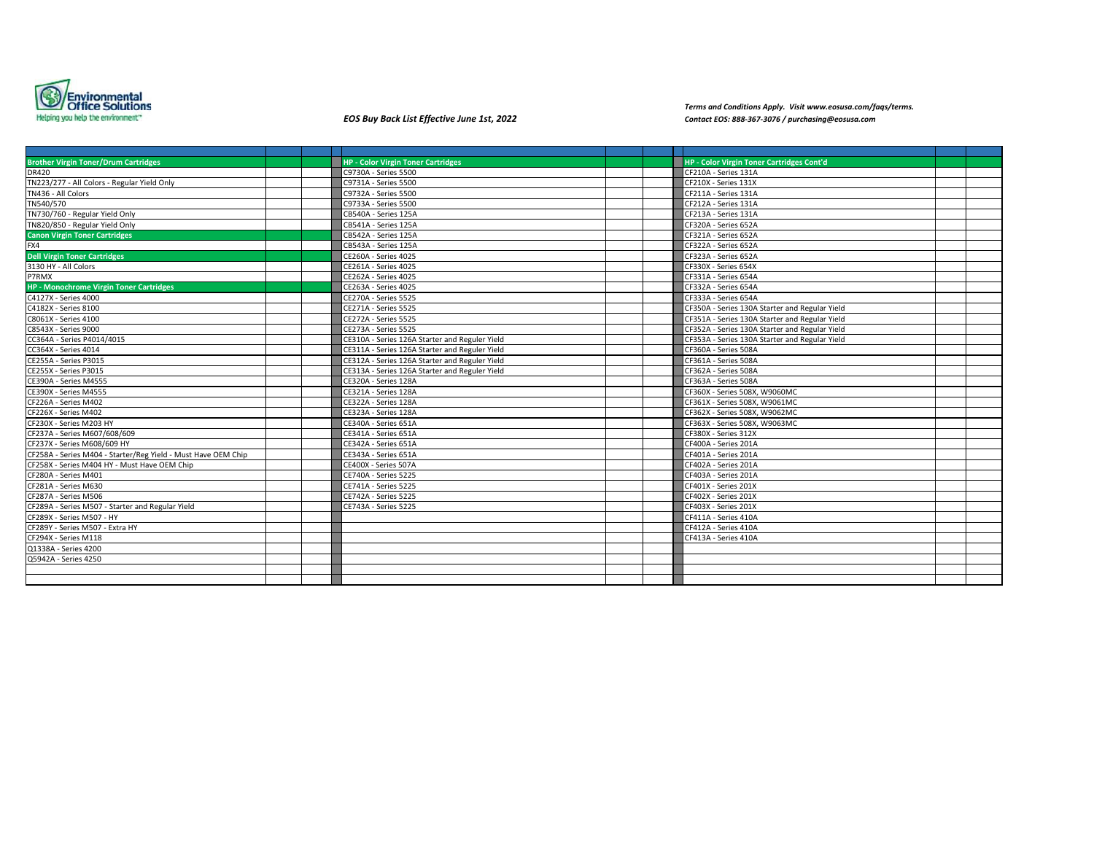

*Terms and Conditions Apply. Visit www.eosusa.com/faqs/terms. EOS Buy Back List Effective June 1st, 2022 Contact EOS: 888-367-3076 / purchasing@eosusa.com*

| <b>Brother Virgin Toner/Drum Cartridges</b>                   | <b>HP - Color Virgin Toner Cartridges</b>      |                      | HP - Color Virgin Toner Cartridges Cont'd      |  |  |
|---------------------------------------------------------------|------------------------------------------------|----------------------|------------------------------------------------|--|--|
| <b>DR420</b>                                                  | C9730A - Series 5500                           | CF210A - Series 131A |                                                |  |  |
| TN223/277 - All Colors - Regular Yield Only                   | C9731A - Series 5500                           | CF210X - Series 131X |                                                |  |  |
| TN436 - All Colors                                            | C9732A - Series 5500                           | CF211A - Series 131A |                                                |  |  |
| TN540/570                                                     | C9733A - Series 5500                           | CF212A - Series 131A |                                                |  |  |
| TN730/760 - Regular Yield Only                                | CB540A - Series 125A                           | CF213A - Series 131A |                                                |  |  |
| TN820/850 - Regular Yield Only                                | CB541A - Series 125A                           | CF320A - Series 652A |                                                |  |  |
| <b>Canon Virgin Toner Cartridges</b>                          | CB542A - Series 125A                           | CF321A - Series 652A |                                                |  |  |
| FX4                                                           | CB543A - Series 125A                           | CF322A - Series 652A |                                                |  |  |
| <b>Dell Virgin Toner Cartridges</b>                           | <b>CE260A - Series 4025</b>                    | CF323A - Series 652A |                                                |  |  |
| 3130 HY - All Colors                                          | CE261A - Series 4025                           | CF330X - Series 654X |                                                |  |  |
| P7RMX                                                         | <b>CE262A - Series 4025</b>                    | CF331A - Series 654A |                                                |  |  |
| <b>HP - Monochrome Virgin Toner Cartridges</b>                | CE263A - Series 4025                           | CF332A - Series 654A |                                                |  |  |
| C4127X - Series 4000                                          | CE270A - Series 5525                           | CF333A - Series 654A |                                                |  |  |
| C4182X - Series 8100                                          | CE271A - Series 5525                           |                      | CF350A - Series 130A Starter and Regular Yield |  |  |
| C8061X - Series 4100                                          | <b>CE272A - Series 5525</b>                    |                      | CF351A - Series 130A Starter and Regular Yield |  |  |
| C8543X - Series 9000                                          | CE273A - Series 5525                           |                      | CF352A - Series 130A Starter and Regular Yield |  |  |
| CC364A - Series P4014/4015                                    | CE310A - Series 126A Starter and Reguler Yield |                      | CF353A - Series 130A Starter and Regular Yield |  |  |
| CC364X - Series 4014                                          | CE311A - Series 126A Starter and Reguler Yield | CF360A - Series 508A |                                                |  |  |
| CE255A - Series P3015                                         | CE312A - Series 126A Starter and Reguler Yield | CF361A - Series 508A |                                                |  |  |
| CE255X - Series P3015                                         | CE313A - Series 126A Starter and Reguler Yield | CF362A - Series 508A |                                                |  |  |
| <b>CE390A - Series M4555</b>                                  | CE320A - Series 128A                           | CF363A - Series 508A |                                                |  |  |
| CE390X - Series M4555                                         | CE321A - Series 128A                           |                      | CF360X - Series 508X, W9060MC                  |  |  |
| CF226A - Series M402                                          | CE322A - Series 128A                           |                      | CF361X - Series 508X, W9061MC                  |  |  |
| CF226X - Series M402                                          | CE323A - Series 128A                           |                      | CF362X - Series 508X, W9062MC                  |  |  |
| CF230X - Series M203 HY                                       | CE340A - Series 651A                           |                      | CF363X - Series 508X, W9063MC                  |  |  |
| CF237A - Series M607/608/609                                  | CE341A - Series 651A                           | CF380X - Series 312X |                                                |  |  |
| CF237X - Series M608/609 HY                                   | CE342A - Series 651A                           | CF400A - Series 201A |                                                |  |  |
| CF258A - Series M404 - Starter/Reg Yield - Must Have OEM Chip | CE343A - Series 651A                           | CF401A - Series 201A |                                                |  |  |
| CF258X - Series M404 HY - Must Have OEM Chip                  | CE400X - Series 507A                           | CF402A - Series 201A |                                                |  |  |
| CF280A - Series M401                                          | CE740A - Series 5225                           | CF403A - Series 201A |                                                |  |  |
| CF281A - Series M630                                          | <b>CE741A - Series 5225</b>                    | CF401X - Series 201X |                                                |  |  |
| CF287A - Series M506                                          | CE742A - Series 5225                           | CF402X - Series 201X |                                                |  |  |
| CF289A - Series M507 - Starter and Regular Yield              | CE743A - Series 5225                           | CF403X - Series 201X |                                                |  |  |
| CF289X - Series M507 - HY                                     |                                                | CF411A - Series 410A |                                                |  |  |
| CF289Y - Series M507 - Extra HY                               |                                                | CF412A - Series 410A |                                                |  |  |
| CF294X - Series M118                                          |                                                | CF413A - Series 410A |                                                |  |  |
| Q1338A - Series 4200                                          |                                                |                      |                                                |  |  |
| Q5942A - Series 4250                                          |                                                |                      |                                                |  |  |
|                                                               |                                                |                      |                                                |  |  |
|                                                               |                                                |                      |                                                |  |  |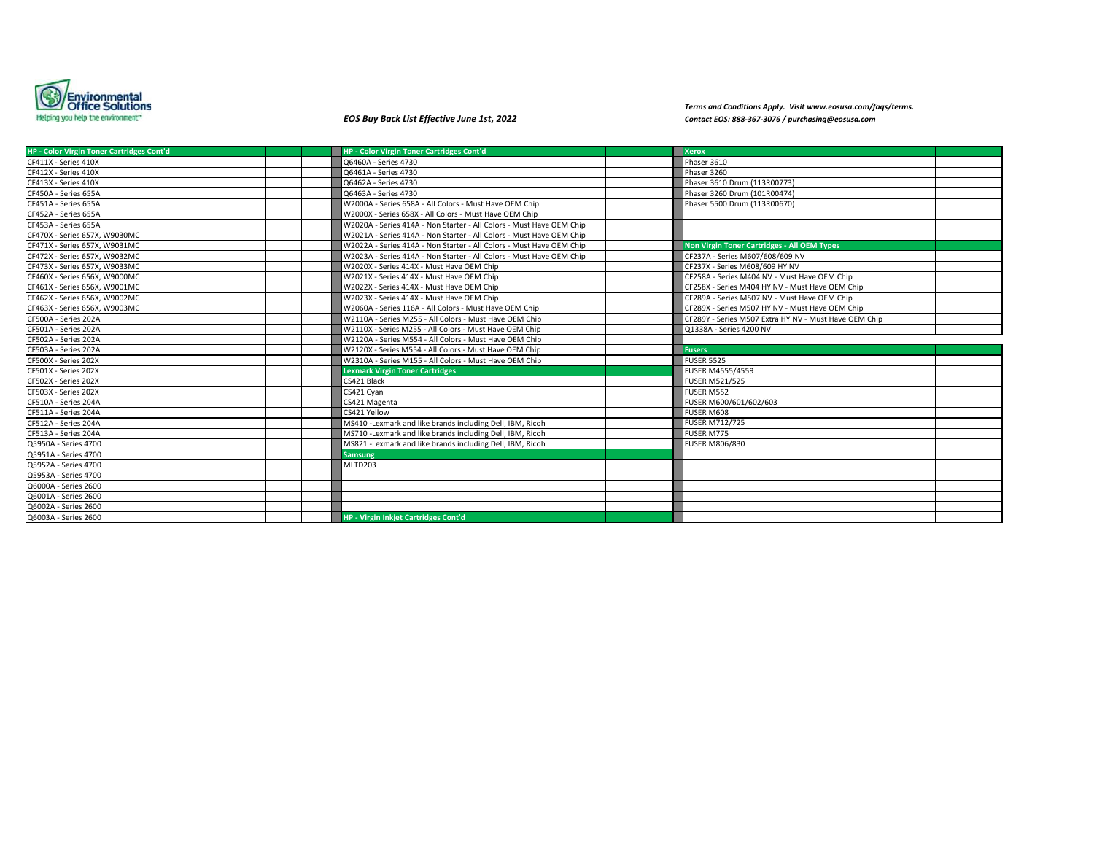

*Terms and Conditions Apply. Visit www.eosusa.com/faqs/terms. EOS Buy Back List Effective June 1st, 2022 Contact EOS: 888-367-3076 / purchasing@eosusa.com*

| <b>HP - Color Virgin Toner Cartridges Cont'd</b> | <b>HP - Color Virgin Toner Cartridges Cont'd</b>                     |  | <b>Xerox</b>                                          |  |
|--------------------------------------------------|----------------------------------------------------------------------|--|-------------------------------------------------------|--|
| CF411X - Series 410X                             | Q6460A - Series 4730                                                 |  | Phaser 3610                                           |  |
| CF412X - Series 410X                             | Q6461A - Series 4730                                                 |  | Phaser 3260                                           |  |
| CF413X - Series 410X                             | Q6462A - Series 4730                                                 |  | Phaser 3610 Drum (113R00773)                          |  |
| CF450A - Series 655A                             | Q6463A - Series 4730                                                 |  | Phaser 3260 Drum (101R00474)                          |  |
| CF451A - Series 655A                             | W2000A - Series 658A - All Colors - Must Have OEM Chip               |  | Phaser 5500 Drum (113R00670)                          |  |
| CF452A - Series 655A                             | W2000X - Series 658X - All Colors - Must Have OEM Chip               |  |                                                       |  |
| CF453A - Series 655A                             | W2020A - Series 414A - Non Starter - All Colors - Must Have OEM Chip |  |                                                       |  |
| CF470X - Series 657X, W9030MC                    | W2021A - Series 414A - Non Starter - All Colors - Must Have OEM Chip |  |                                                       |  |
| CF471X - Series 657X, W9031MC                    | W2022A - Series 414A - Non Starter - All Colors - Must Have OEM Chip |  | <b>Non Virgin Toner Cartridges - All OEM Types</b>    |  |
| CF472X - Series 657X, W9032MC                    | W2023A - Series 414A - Non Starter - All Colors - Must Have OEM Chip |  | CF237A - Series M607/608/609 NV                       |  |
| CF473X - Series 657X, W9033MC                    | W2020X - Series 414X - Must Have OEM Chip                            |  | CF237X - Series M608/609 HY NV                        |  |
| CF460X - Series 656X, W9000MC                    | W2021X - Series 414X - Must Have OEM Chip                            |  | CF258A - Series M404 NV - Must Have OEM Chip          |  |
| CF461X - Series 656X, W9001MC                    | W2022X - Series 414X - Must Have OEM Chip                            |  | CF258X - Series M404 HY NV - Must Have OEM Chip       |  |
| CF462X - Series 656X, W9002MC                    | W2023X - Series 414X - Must Have OEM Chip                            |  | CF289A - Series M507 NV - Must Have OEM Chip          |  |
| CF463X - Series 656X, W9003MC                    | W2060A - Series 116A - All Colors - Must Have OEM Chip               |  | CF289X - Series M507 HY NV - Must Have OEM Chip       |  |
| CF500A - Series 202A                             | W2110A - Series M255 - All Colors - Must Have OEM Chip               |  | CF289Y - Series M507 Extra HY NV - Must Have OEM Chip |  |
| CF501A - Series 202A                             | W2110X - Series M255 - All Colors - Must Have OEM Chip               |  | Q1338A - Series 4200 NV                               |  |
| CF502A - Series 202A                             | W2120A - Series M554 - All Colors - Must Have OEM Chip               |  |                                                       |  |
| CF503A - Series 202A                             | W2120X - Series M554 - All Colors - Must Have OEM Chip               |  | <b>Fusers</b>                                         |  |
| CF500X - Series 202X                             | W2310A - Series M155 - All Colors - Must Have OEM Chip               |  | FUSER 5525                                            |  |
| CF501X - Series 202X                             | <b>Lexmark Virgin Toner Cartridges</b>                               |  | <b>FUSER M4555/4559</b>                               |  |
| CF502X - Series 202X                             | CS421 Black                                                          |  | <b>FUSER M521/525</b>                                 |  |
| CF503X - Series 202X                             | CS421 Cyan                                                           |  | FUSER M552                                            |  |
| CF510A - Series 204A                             | CS421 Magenta                                                        |  | FUSER M600/601/602/603                                |  |
| CF511A - Series 204A                             | CS421 Yellow                                                         |  | FUSER M608                                            |  |
| CF512A - Series 204A                             | MS410 -Lexmark and like brands including Dell, IBM, Ricoh            |  | <b>FUSER M712/725</b>                                 |  |
| CF513A - Series 204A                             | MS710 -Lexmark and like brands including Dell, IBM, Ricoh            |  | FUSER M775                                            |  |
| Q5950A - Series 4700                             | MS821 -Lexmark and like brands including Dell, IBM, Ricoh            |  | <b>FUSER M806/830</b>                                 |  |
| Q5951A - Series 4700                             | <b>Samsung</b>                                                       |  |                                                       |  |
| Q5952A - Series 4700                             | MLTD203                                                              |  |                                                       |  |
| Q5953A - Series 4700                             |                                                                      |  |                                                       |  |
| Q6000A - Series 2600                             |                                                                      |  |                                                       |  |
| Q6001A - Series 2600                             |                                                                      |  |                                                       |  |
| Q6002A - Series 2600                             |                                                                      |  |                                                       |  |
| Q6003A - Series 2600                             | <b>HP - Virgin Inkiet Cartridges Cont'd</b>                          |  |                                                       |  |